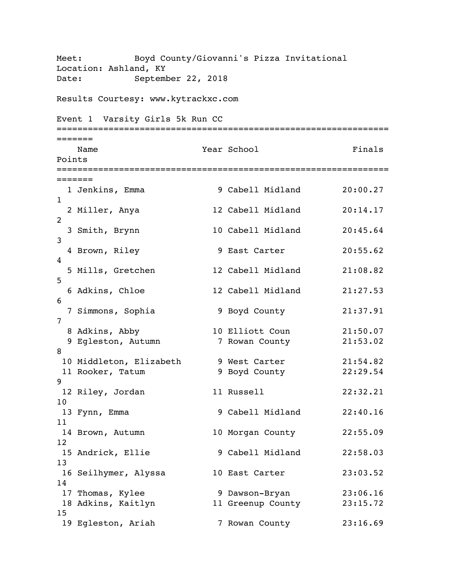```
Meet: Boyd County/Giovanni's Pizza Invitational
Location: Ashland, KY
Date: September 22, 2018
Results Courtesy: www.kytrackxc.com
Event 1 Varsity Girls 5k Run CC
================================================================
======= 
  Name Year School Finals
Points 
================================================================
======= 
 1 Jenkins, Emma 1 9 Cabell Midland 20:00.27
1 
  2 Miller, Anya 12 Cabell Midland 20:14.17 
2 
  3 Smith, Brynn 10 Cabell Midland 20:45.64 
3 
 4 Brown, Riley 9 East Carter 20:55.62
4 
  5 Mills, Gretchen 12 Cabell Midland 21:08.82 
5 
  6 Adkins, Chloe 12 Cabell Midland 21:27.53 
6 
  7 Simmons, Sophia 9 Boyd County 21:37.91 
7 
 8 Adkins, Abby 10 Elliott Coun 21:50.07 
9 Egleston, Autumn 7 Rowan County 21:53.02
8 
 10 Middleton, Elizabeth 9 West Carter 21:54.82 
 11 Rooker, Tatum 9 Boyd County 22:29.54 
9 
 12 Riley, Jordan 11 Russell 22:32.21 
10 
 13 Fynn, Emma 9 Cabell Midland 22:40.16 
11 
14 Brown, Autumn 10 Morgan County 22:55.09
12<br>15 Andrick, Ellie
                      9 Cabell Midland 22:58.03
13 
16 Seilhymer, Alyssa 10 East Carter 23:03.52
14 
17 Thomas, Kylee 3 9 Dawson-Bryan 23:06.16
 18 Adkins, Kaitlyn 11 Greenup County 23:15.72 
15 
19 Egleston, Ariah 7 Rowan County 23:16.69
```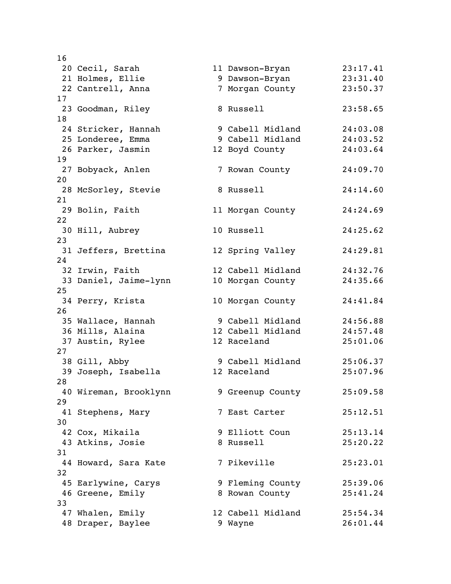| 16 |                                     |                   |          |
|----|-------------------------------------|-------------------|----------|
|    | 20 Cecil, Sarah                     | 11 Dawson-Bryan   | 23:17.41 |
|    | 21 Holmes, Ellie                    | 9 Dawson-Bryan    | 23:31.40 |
|    | 22 Cantrell, Anna                   | 7 Morgan County   | 23:50.37 |
| 17 |                                     |                   |          |
|    | 23 Goodman, Riley                   | 8 Russell         | 23:58.65 |
| 18 |                                     |                   |          |
|    | 24 Stricker, Hannah                 | 9 Cabell Midland  | 24:03.08 |
|    | 25 Londeree, Emma                   | 9 Cabell Midland  | 24:03.52 |
|    | 26 Parker, Jasmin                   | 12 Boyd County    | 24:03.64 |
| 19 |                                     |                   |          |
|    | 27 Bobyack, Anlen                   | 7 Rowan County    | 24:09.70 |
| 20 |                                     |                   |          |
|    | 28 McSorley, Stevie                 | 8 Russell         | 24:14.60 |
| 21 |                                     |                   |          |
|    | 29 Bolin, Faith                     | 11 Morgan County  | 24:24.69 |
| 22 |                                     |                   |          |
|    | 30 Hill, Aubrey                     | 10 Russell        | 24:25.62 |
| 23 |                                     |                   |          |
|    | 31 Jeffers, Brettina                | 12 Spring Valley  | 24:29.81 |
| 24 |                                     |                   |          |
|    | 32 Irwin, Faith                     | 12 Cabell Midland | 24:32.76 |
|    | 33 Daniel, Jaime-lynn               | 10 Morgan County  | 24:35.66 |
| 25 |                                     |                   |          |
|    | 34 Perry, Krista                    | 10 Morgan County  | 24:41.84 |
| 26 |                                     |                   |          |
|    | 35 Wallace, Hannah                  | 9 Cabell Midland  | 24:56.88 |
|    | 36 Mills, Alaina                    | 12 Cabell Midland | 24:57.48 |
|    | 37 Austin, Rylee                    | 12 Raceland       | 25:01.06 |
| 27 |                                     |                   |          |
|    | 38 Gill, Abby                       | 9 Cabell Midland  | 25:06.37 |
|    | 39 Joseph, Isabella                 | 12 Raceland       | 25:07.96 |
| 28 |                                     |                   |          |
|    | 40 Wireman, Brooklynn               | 9 Greenup County  | 25:09.58 |
| 29 |                                     | 7 East Carter     |          |
| 30 | 41 Stephens, Mary                   |                   | 25:12.51 |
|    |                                     | 9 Elliott Coun    | 25:13.14 |
|    | 42 Cox, Mikaila<br>43 Atkins, Josie | 8 Russell         | 25:20.22 |
| 31 |                                     |                   |          |
|    |                                     | 7 Pikeville       | 25:23.01 |
| 32 | 44 Howard, Sara Kate                |                   |          |
|    | 45 Earlywine, Carys                 | 9 Fleming County  | 25:39.06 |
|    | 46 Greene, Emily                    | 8 Rowan County    | 25:41.24 |
| 33 |                                     |                   |          |
|    | 47 Whalen, Emily                    | 12 Cabell Midland | 25:54.34 |
|    | 48 Draper, Baylee                   | 9 Wayne           | 26:01.44 |
|    |                                     |                   |          |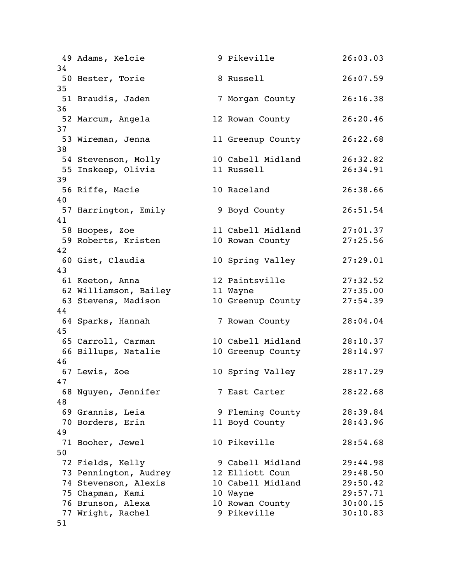49 Adams, Kelcie 9 Pikeville 26:03.03 34 50 Hester, Torie 8 Russell 26:07.59 35 51 Braudis, Jaden 7 Morgan County 26:16.38 36 52 Marcum, Angela 12 Rowan County 26:20.46 37 53 Wireman, Jenna 11 Greenup County 26:22.68 38 54 Stevenson, Molly 10 Cabell Midland 26:32.82 55 Inskeep, Olivia 11 Russell 26:34.91 39 56 Riffe, Macie 10 Raceland 26:38.66 40 57 Harrington, Emily 9 Boyd County 26:51.54 41 58 Hoopes, Zoe 11 Cabell Midland 27:01.37 59 Roberts, Kristen 10 Rowan County 27:25.56 42 60 Gist, Claudia 10 Spring Valley 27:29.01 43 61 Keeton, Anna 12 Paintsville 27:32.52 62 Williamson, Bailey 11 Wayne 27:35.00 63 Stevens, Madison 10 Greenup County 27:54.39 44 64 Sparks, Hannah 7 Rowan County 28:04.04 45 65 Carroll, Carman 10 Cabell Midland 28:10.37 66 Billups, Natalie 10 Greenup County 28:14.97 46 67 Lewis, Zoe 10 Spring Valley 28:17.29 47 68 Nguyen, Jennifer 7 East Carter 28:22.68 48 69 Grannis, Leia 9 Fleming County 28:39.84 70 Borders, Erin 11 Boyd County 28:43.96 49 71 Booher, Jewel 10 Pikeville 28:54.68 50 72 Fields, Kelly 19 Cabell Midland 29:44.98 73 Pennington, Audrey 12 Elliott Coun 29:48.50 74 Stevenson, Alexis 10 Cabell Midland 29:50.42 75 Chapman, Kami 10 Wayne 29:57.71 76 Brunson, Alexa 10 Rowan County 30:00.15 77 Wright, Rachel 9 Pikeville 30:10.83 51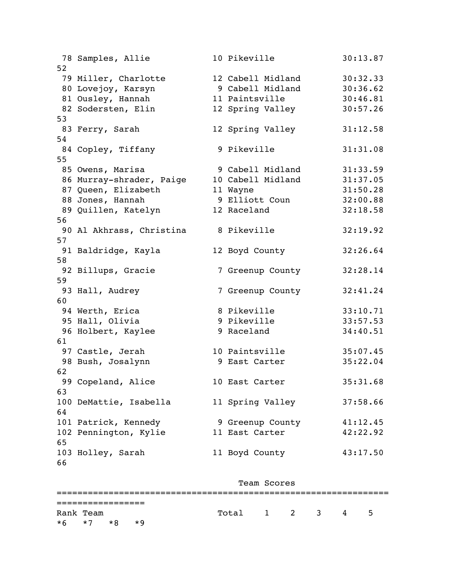|    | 78 Samples, Allie        | 10 Pikeville      | 30:13.87 |
|----|--------------------------|-------------------|----------|
| 52 |                          |                   |          |
|    | 79 Miller, Charlotte     | 12 Cabell Midland | 30:32.33 |
|    | 80 Lovejoy, Karsyn       | 9 Cabell Midland  | 30:36.62 |
|    | 81 Ousley, Hannah        | 11 Paintsville    | 30:46.81 |
|    | 82 Sodersten, Elin       | 12 Spring Valley  | 30:57.26 |
| 53 |                          |                   |          |
|    | 83 Ferry, Sarah          | 12 Spring Valley  | 31:12.58 |
| 54 |                          |                   |          |
|    | 84 Copley, Tiffany       | 9 Pikeville       | 31:31.08 |
| 55 |                          |                   |          |
|    | 85 Owens, Marisa         | 9 Cabell Midland  | 31:33.59 |
|    | 86 Murray-shrader, Paige | 10 Cabell Midland | 31:37.05 |
|    | 87 Queen, Elizabeth      | 11 Wayne          | 31:50.28 |
|    | 88 Jones, Hannah         | 9 Elliott Coun    | 32:00.88 |
|    | 89 Quillen, Katelyn      | 12 Raceland       | 32:18.58 |
| 56 |                          |                   |          |
|    | 90 Al Akhrass, Christina | 8 Pikeville       | 32:19.92 |
| 57 |                          |                   |          |
|    |                          |                   |          |
|    | 91 Baldridge, Kayla      | 12 Boyd County    | 32:26.64 |
| 58 |                          |                   |          |
|    | 92 Billups, Gracie       | 7 Greenup County  | 32:28.14 |
| 59 |                          |                   |          |
|    | 93 Hall, Audrey          | 7 Greenup County  | 32:41.24 |
| 60 |                          |                   |          |
|    | 94 Werth, Erica          | 8 Pikeville       | 33:10.71 |
|    | 95 Hall, Olivia          | 9 Pikeville       | 33:57.53 |
|    | 96 Holbert, Kaylee       | 9 Raceland        | 34:40.51 |
| 61 |                          |                   |          |
|    | 97 Castle, Jerah         | 10 Paintsville    | 35:07.45 |
|    | 98 Bush, Josalynn        | 9 East Carter     | 35:22.04 |
| 62 |                          |                   |          |
|    | 99 Copeland, Alice       | 10 East Carter    | 35:31.68 |
| 63 |                          |                   |          |
|    | 100 DeMattie, Isabella   | 11 Spring Valley  | 37:58.66 |
| 64 |                          |                   |          |
|    | 101 Patrick, Kennedy     | 9 Greenup County  | 41:12.45 |
|    | 102 Pennington, Kylie    | 11 East Carter    | 42:22.92 |
| 65 |                          |                   |          |
|    | 103 Holley, Sarah        | 11 Boyd County    | 43:17.50 |
| 66 |                          |                   |          |

|                             |      |             | Team Scores |  |  |   |     |  |
|-----------------------------|------|-------------|-------------|--|--|---|-----|--|
| --------------              |      |             |             |  |  |   |     |  |
| Rank Team<br>$*6$ $*7$ $*8$ | $*9$ | Total 1 2 3 |             |  |  | 4 | - 5 |  |